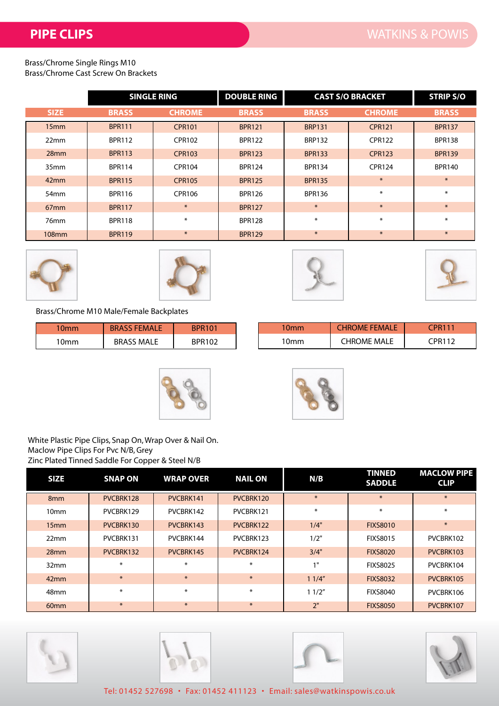Brass/Chrome Single Rings M10 Brass/Chrome Cast Screw On Brackets

|                  | <b>SINGLE RING</b> |               | <b>DOUBLE RING</b>             |               | <b>CAST S/O BRACKET</b> | <b>STRIP S/O</b> |
|------------------|--------------------|---------------|--------------------------------|---------------|-------------------------|------------------|
| <b>SIZE</b>      | <b>BRASS</b>       | <b>CHROME</b> | <b>BRASS</b>                   | <b>BRASS</b>  | <b>CHROME</b>           | <b>BRASS</b>     |
| 15mm             | <b>BPR111</b>      | <b>CPR101</b> | <b>BPR121</b>                  | <b>BRP131</b> | <b>CPR121</b>           | <b>BPR137</b>    |
| 22mm             | <b>BPR112</b>      | <b>CPR102</b> | <b>BPR122</b>                  | <b>BRP132</b> | <b>CPR122</b>           | <b>BPR138</b>    |
| 28mm             | <b>BPR113</b>      | <b>CPR103</b> | <b>BPR133</b><br><b>BPR123</b> |               | <b>CPR123</b>           | <b>BPR139</b>    |
| 35 <sub>mm</sub> | <b>BPR114</b>      | CPR104        | <b>BPR124</b>                  | <b>BPR134</b> | <b>CPR124</b>           | <b>BPR140</b>    |
| 42mm             | <b>BPR115</b>      | <b>CPR105</b> | <b>BPR125</b>                  | <b>BPR135</b> | $\ast$                  | $\ast$           |
| 54 <sub>mm</sub> | <b>BPR116</b>      | CPR106        | <b>BPR126</b>                  | <b>BPR136</b> | ∗                       | $\ast$           |
| 67mm             | <b>BPR117</b>      | $\ast$        | <b>BPR127</b>                  | $\ast$        | $\ast$                  | $*$              |
| 76mm             | <b>BPR118</b>      | $\ast$        | <b>BPR128</b>                  | $\ast$        | ∗                       | $\ast$           |
| <b>108mm</b>     | <b>BPR119</b>      | $\ast$        | <b>BPR129</b>                  | $\ast$        | $\ast$                  | $\ast$           |









Brass/Chrome M10 Male/Female Backplates

| 10 <sub>mm</sub> | <b>BRA</b><br>EMALE  | BPR101 | 10mm | <b>EEMALL</b><br>JMF<br>TR. | CPR111 |
|------------------|----------------------|--------|------|-----------------------------|--------|
| 10mm             | <b>MALE</b><br>BRASS | BPR102 | 10mm | MALE<br>`HROME              | CPR112 |





White Plastic Pipe Clips, Snap On, Wrap Over & Nail On. Maclow Pipe Clips For Pvc N/B, Grey Zinc Plated Tinned Saddle For Copper & Steel N/B

| <b>SIZE</b>      | <b>SNAP ON</b> | <b>WRAP OVER</b> | <b>NAIL ON</b> | N/B             | <b>TINNED</b><br><b>SADDLE</b> | <b>MACLOW PIPE</b><br><b>CLIP</b> |
|------------------|----------------|------------------|----------------|-----------------|--------------------------------|-----------------------------------|
| 8 <sub>mm</sub>  | PVCBRK128      | PVCBRK141        | PVCBRK120      | $*$             | $\ast$                         | $*$                               |
| 10 <sub>mm</sub> | PVCBRK129      | PVCBRK142        | PVCBRK121      | $\ast$          |                                | ∗                                 |
| 15mm             | PVCBRK130      | PVCBRK143        | PVCBRK122      | 1/4"            |                                | $\ast$                            |
| 22mm             | PVCBRK131      | PVCBRK144        | PVCBRK123      | 1/2"            | <b>FIXS8015</b>                | PVCBRK102                         |
| 28mm             | PVCBRK132      | PVCBRK145        | PVCBRK124      | 3/4"            | <b>FIXS8020</b>                | PVCBRK103                         |
| 32mm             | $\ast$         | ∗                | $\ast$         | 1 <sup>11</sup> | <b>FIXS8025</b>                | PVCBRK104                         |
| 42mm             | $\ast$         | $*$              | $*$            | 11/4"           | <b>FIXS8032</b>                | PVCBRK105                         |
| 48mm             | $\ast$         | ∗                | $\ast$         | 11/2"           | <b>FIXS8040</b>                | PVCBRK106                         |
| 60 <sub>mm</sub> | $*$            | $\ast$           | $*$            | 2"              | <b>FIXS8050</b>                | PVCBRK107                         |